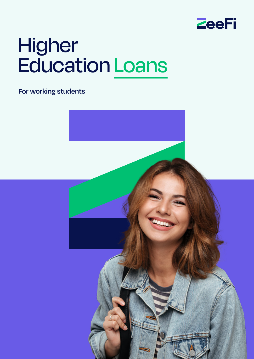

# Higher Education Loans

**For working students**

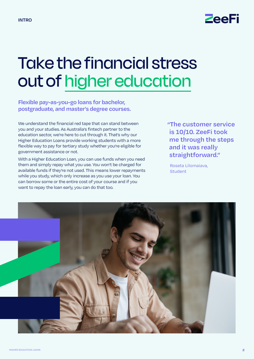

### Take the financial stress out of higher education

**Flexible pay-as-you-go loans for bachelor, postgraduate, and master's degree courses.** 

We understand the financial red tape that can stand between you and your studies. As Australia's fintech partner to the education sector, we're here to cut through it. That's why our Higher Education Loans provide working students with a more flexible way to pay for tertiary study whether you're eligible for government assistance or not.

With a Higher Education Loan, you can use funds when you need them and simply repay what you use. You won't be charged for available funds if they're not used. This means lower repayments while you study, which only increase as you use your loan. You can borrow some or the entire cost of your course and if you want to repay the loan early, you can do that too.

**"The customer service is 10/10. ZeeFi took me through the steps and it was really straightforward."**

Roseta Lilomaiava, **Student** 

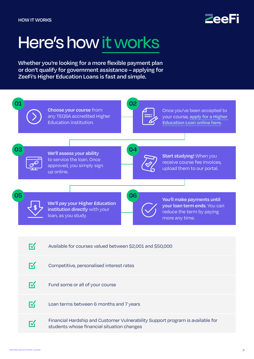

### Here's how it works

**Whether you're looking for a more flexible payment plan or don't qualify for government assistance – applying for ZeeFi's Higher Education Loans is fast and simple.** 

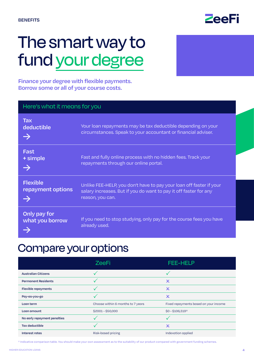

### The smart way to fund your degree

**Finance your degree with flexible payments. Borrow some or all of your course costs.** 

| Here's what it means for you              |                                                                                                                                                              |  |
|-------------------------------------------|--------------------------------------------------------------------------------------------------------------------------------------------------------------|--|
| <b>Tax</b><br>deductible<br>$\rightarrow$ | Your loan repayments may be tax deductible depending on your<br>circumstances. Speak to your accountant or financial adviser.                                |  |
| Fast<br>+ simple                          | Fast and fully online process with no hidden fees. Track your<br>repayments through our online portal.                                                       |  |
| <b>Flexible</b><br>repayment options      | Unlike FEE-HELP, you don't have to pay your loan off faster if your<br>salary increases. But if you do want to pay it off faster for any<br>reason, you can. |  |
| Only pay for<br>what you borrow           | If you need to stop studying, only pay for the course fees you have<br>already used.                                                                         |  |

### Compare your options

|                              | <b>ZeeFi</b>                      | <b>FEE-HELP</b>                       |
|------------------------------|-----------------------------------|---------------------------------------|
| <b>Australian Citizens</b>   |                                   |                                       |
| <b>Permanent Residents</b>   |                                   | $\boldsymbol{\mathsf{x}}$             |
| <b>Flexible repayments</b>   |                                   | $\boldsymbol{\mathsf{x}}$             |
| Pay-as-you-go                |                                   | $\boldsymbol{\mathsf{x}}$             |
| Loan term                    | Choose within 6 months to 7 years | Fixed repayments based on your income |
| Loan amount                  | \$2001-\$50,000                   | $$0 - $106,319*$                      |
| No early repayment penalties |                                   |                                       |
| Tax deductible               |                                   | $\boldsymbol{\mathsf{x}}$             |
| <b>Interest rates</b>        | Risk-based pricing                | Indexation applied                    |

\* Indicative comparison table. You should make your own assessment as to the suitability of our product compared with government funding schemes.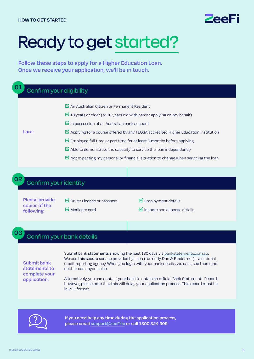### ZeeFi

### Ready to get started?

**Follow these steps to apply for a Higher Education Loan. Once we receive your application, we'll be in touch.** 

| Confirm your eligibility |                                                                                                                                                                                                                                                                                                                                                                                                                                                                                                                                                                                                                  |
|--------------------------|------------------------------------------------------------------------------------------------------------------------------------------------------------------------------------------------------------------------------------------------------------------------------------------------------------------------------------------------------------------------------------------------------------------------------------------------------------------------------------------------------------------------------------------------------------------------------------------------------------------|
| I am:                    | $\triangleright$ An Australian Citizen or Permanent Resident<br>$\overline{M}$ 18 years or older (or 16 years old with parent applying on my behalf)<br>$\triangleright$ In possession of an Australian bank account<br>$\boxtimes$ Applying for a course offered by any TEQSA accredited Higher Education institution<br>$\mathbb Z$ Employed full time or part time for at least 6 months before applying<br>$\triangleright$ Able to demonstrate the capacity to service the loan independently<br>$\overline{\mathbf{S}}$ Not expecting my personal or financial situation to change when servicing the loan |

#### Confirm your identity

**Please provide copies of the following:**

**02**

**03**

**☑**Driver Licence or passport **☑**Medicare card

**☑**Employment details

**☑**Income and expense details

#### Confirm your bank details

**Submit bank statements to complete your application:**

Submit bank statements showing the past 180 days via [bankstatements.com.au.](http://BankStatements.com.au) We use this secure service provided by Illion (formerly Dun & Bradstreet) – a national credit reporting agency. When you login with your bank details, we can't see them and neither can anyone else.

Alternatively, you can contact your bank to obtain an official Bank Statements Record, however, please note that this will delay your application process. This record must be in PDF format.



**If you need help any time during the application process, please email [support@](mailto:support%40zeefi.io?subject=)zeeFi.io or call 1800 324 909.**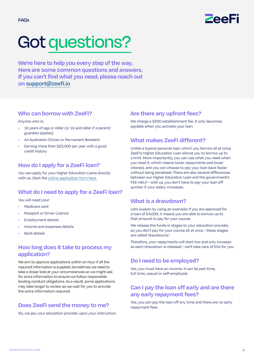

## Got questions?

**We're here to help you every step of the way. Here are some common questions and answers. If you can't find what you need, please reach out on [support@zeefi.io](mailto:support%40zeefi.io?subject=)**

#### **Who can borrow with ZeeFi?**

#### Anyone who is:

- 18 years of age or older (or 16 and older if a parent/ guardian applies)
- An Australian Citizen or Permanent Resident
- Earning more than \$25,000 per year with a good credit history

#### **How do I apply for a ZeeFi loan?**

You can apply for your Higher Education Loans directly with us. Start the [online application form here.](https://portal.zeefi.io/apply/slanonymousapply?_ga=2.46771239.1665934866.1644183279-1844015789.1634008374)

#### **What do I need to apply for a ZeeFi loan?**

You will need your:

- Medicare card
- Passport or Driver Licence
- Employment details
- Income and expenses details
- **Bank details**

#### **How long does it take to process my application?**

We aim to approve applications within an hour if all the required information is supplied. Sometimes we need to take a closer look at your circumstances so we might ask for extra information to ensure we follow responsible lending conduct obligations. As a result, some applications may take longer to review as we wait for you to provide the extra information required.

#### **Does ZeeFi send the money to me?**

No, we pay your education provider upon your instruction.

#### **Are there any upfront fees?**

We charge a \$200 establishment fee. It only becomes payable when you activate your loan.

#### **What makes ZeeFi different?**

Unlike a typical personal loan, which you borrow all at once, ZeeFi's Higher Education Loan allows you to borrow up to a limit. More importantly, you can use what you need when you need it, which means lower repayments and lower interest, and you can choose to pay your loan back faster without being penalised. There are also several differences between our Higher Education Loan and the government's FEE-HELP - with us, you don't have to pay your loan off quicker if your salary increases.

#### **What is a drawdown?**

Let's explain by using an example: If you are approved for a loan of \$4,000, it means you are able to borrow up to that amount to pay for your course.

We release the funds in stages to your education provider, so you don't pay for your course all at once - these stages are called 'drawdowns'.

Therefore, your repayments will start low and only increase as each drawdown is released - we'll take care of this for you.

#### **Do I need to be employed?**

Yes, you must have an income. It can be part time, full time, casual or self-employed.

#### **Can I pay the loan off early and are there any early repayment fees?**

Yes, you can pay the loan off any time and there are no early repayment fees.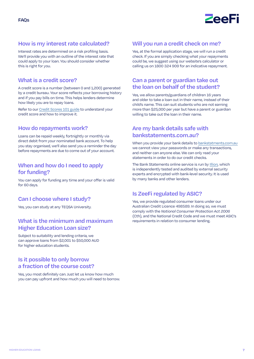

#### **How is my interest rate calculated?**

Interest rates are determined on a risk profiling basis. We'll provide you with an outline of the interest rate that could apply to your loan. You should consider whether this is right for you.

#### **What is a credit score?**

A credit score is a number (between 0 and 1,200) generated by a credit bureau. Your score reflects your borrowing history and if you pay bills on time. This helps lenders determine how likely you are to repay loans.

Refer to our [Credit Scores 101 guide](https://zeefi.io/wp-content/uploads/2022/02/ZeeFi-Credit-Scores-101.pdf) to understand your credit score and how to improve it.

#### **How do repayments work?**

Loans can be repaid weekly, fortnightly or monthly via direct debit from your nominated bank account. To help you stay organised, we'll also send you a reminder the day before repayments are due to come out of your account.

#### **When and how do I need to apply for funding?**

You can apply for funding any time and your offer is valid for 60 days.

#### **Can I choose where I study?**

Yes, you can study at any TEQSA University.

#### **What is the minimum and maximum Higher Education Loan size?**

Subject to suitability and lending criteria, we can approve loans from \$2,001 to \$50,000 AUD for higher education students.

#### **Is it possible to only borrow a fraction of the course cost?**

Yes, you most definitely can. Just let us know how much you can pay upfront and how much you will need to borrow.

#### **Will you run a credit check on me?**

Yes, at the formal application stage, we will run a credit check. If you are simply checking what your repayments could be, we suggest using our website's calculator or calling us on 1800 324 909 for an indicative repayment.

#### **Can a parent or guardian take out the loan on behalf of the student?**

Yes, we allow parents/guardians of children 16 years and older to take a loan out in their name, instead of their child's name. This can suit students who are not earning more than \$25,000 per year but have a parent or guardian willing to take out the loan in their name.

#### **Are my bank details safe with bankstatements.com.au?**

When you provide your bank details to bankstatments.com.au we cannot view your passwords or make any transactions, and neither can anyone else. We can only read your statements in order to do our credit checks.

The Bank Statements online service is run by [Illion,](https://bankstatements.com.au/about/security) which is independently tested and audited by external security experts and encrypted with bank-level security. It is used by many banks and other lenders.

#### **Is ZeeFi regulated by ASIC?**

Yes, we provide regulated consumer loans under our Australian Credit Licence 498589. In doing so, we must comply with the *National Consumer Protection Act 2006* (Cth), and the National Credit Code and we must meet ASIC's requirements in relation to consumer lending.